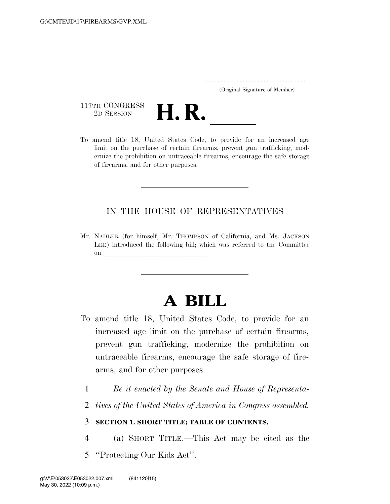..................................................................... (Original Signature of Member)

117TH CONGRESS<br>2D SESSION



limit on the purchase of certain firearms, prevent gun trafficking, modernize the prohibition on untraceable firearms, encourage the safe storage of firearms, and for other purposes.

## IN THE HOUSE OF REPRESENTATIVES

Mr. NADLER (for himself, Mr. THOMPSON of California, and Ms. JACKSON LEE) introduced the following bill; which was referred to the Committee on **later and little little little** 

# **A BILL**

- To amend title 18, United States Code, to provide for an increased age limit on the purchase of certain firearms, prevent gun trafficking, modernize the prohibition on untraceable firearms, encourage the safe storage of firearms, and for other purposes.
	- 1 *Be it enacted by the Senate and House of Representa-*
	- 2 *tives of the United States of America in Congress assembled,*

### 3 **SECTION 1. SHORT TITLE; TABLE OF CONTENTS.**

- 4 (a) SHORT TITLE.—This Act may be cited as the
- 5 ''Protecting Our Kids Act''.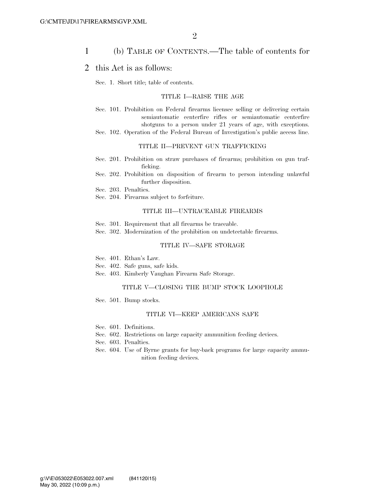### 1 (b) TABLE OF CONTENTS.—The table of contents for

### 2 this Act is as follows:

Sec. 1. Short title; table of contents.

#### TITLE I—RAISE THE AGE

- Sec. 101. Prohibition on Federal firearms licensee selling or delivering certain semiautomatic centerfire rifles or semiautomatic centerfire shotguns to a person under 21 years of age, with exceptions.
- Sec. 102. Operation of the Federal Bureau of Investigation's public access line.

#### TITLE II—PREVENT GUN TRAFFICKING

- Sec. 201. Prohibition on straw purchases of firearms; prohibition on gun trafficking.
- Sec. 202. Prohibition on disposition of firearm to person intending unlawful further disposition.
- Sec. 203. Penalties.
- Sec. 204. Firearms subject to forfeiture.

#### TITLE III—UNTRACEABLE FIREARMS

- Sec. 301. Requirement that all firearms be traceable.
- Sec. 302. Modernization of the prohibition on undetectable firearms.

#### TITLE IV—SAFE STORAGE

- Sec. 401. Ethan's Law.
- Sec. 402. Safe guns, safe kids.
- Sec. 403. Kimberly Vaughan Firearm Safe Storage.

### TITLE V—CLOSING THE BUMP STOCK LOOPHOLE

Sec. 501. Bump stocks.

#### TITLE VI—KEEP AMERICANS SAFE

- Sec. 601. Definitions.
- Sec. 602. Restrictions on large capacity ammunition feeding devices.
- Sec. 603. Penalties.
- Sec. 604. Use of Byrne grants for buy-back programs for large capacity ammunition feeding devices.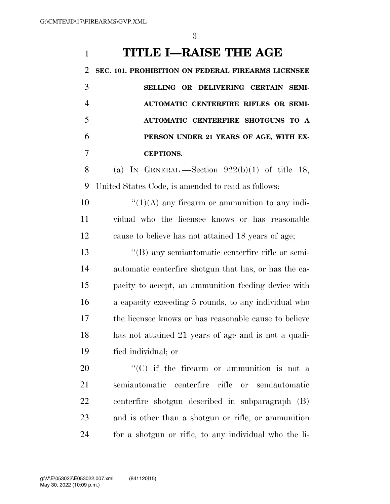# **TITLE I—RAISE THE AGE**

 **SEC. 101. PROHIBITION ON FEDERAL FIREARMS LICENSEE SELLING OR DELIVERING CERTAIN SEMI- AUTOMATIC CENTERFIRE RIFLES OR SEMI- AUTOMATIC CENTERFIRE SHOTGUNS TO A PERSON UNDER 21 YEARS OF AGE, WITH EX-CEPTIONS.** 

8 (a) IN GENERAL.—Section  $922(b)(1)$  of title 18, United States Code, is amended to read as follows:

10  $\langle (1)(A)$  any firearm or ammunition to any indi- vidual who the licensee knows or has reasonable cause to believe has not attained 18 years of age;

 ''(B) any semiautomatic centerfire rifle or semi- automatic centerfire shotgun that has, or has the ca- pacity to accept, an ammunition feeding device with a capacity exceeding 5 rounds, to any individual who the licensee knows or has reasonable cause to believe has not attained 21 years of age and is not a quali-fied individual; or

  $\text{``(C)}$  if the firearm or ammunition is not a semiautomatic centerfire rifle or semiautomatic centerfire shotgun described in subparagraph (B) and is other than a shotgun or rifle, or ammunition for a shotgun or rifle, to any individual who the li-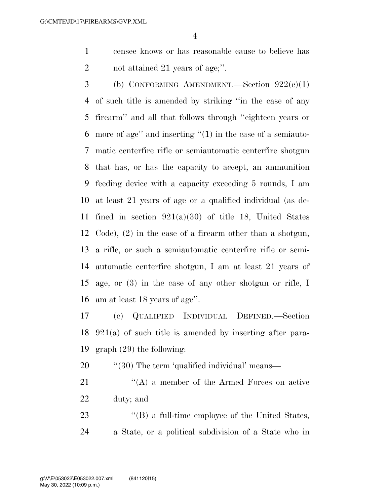censee knows or has reasonable cause to believe has 2 not attained 21 years of age;".

3 (b) CONFORMING AMENDMENT.—Section  $922(c)(1)$  of such title is amended by striking ''in the case of any firearm'' and all that follows through ''eighteen years or more of age'' and inserting ''(1) in the case of a semiauto- matic centerfire rifle or semiautomatic centerfire shotgun that has, or has the capacity to accept, an ammunition feeding device with a capacity exceeding 5 rounds, I am at least 21 years of age or a qualified individual (as de-11 fined in section  $921(a)(30)$  of title 18, United States Code), (2) in the case of a firearm other than a shotgun, a rifle, or such a semiautomatic centerfire rifle or semi- automatic centerfire shotgun, I am at least 21 years of age, or (3) in the case of any other shotgun or rifle, I am at least 18 years of age''.

 (c) QUALIFIED INDIVIDUAL DEFINED.—Section 921(a) of such title is amended by inserting after para-graph (29) the following:

20 "'(30) The term 'qualified individual' means—

21 ''(A) a member of the Armed Forces on active duty; and

23 ''(B) a full-time employee of the United States, a State, or a political subdivision of a State who in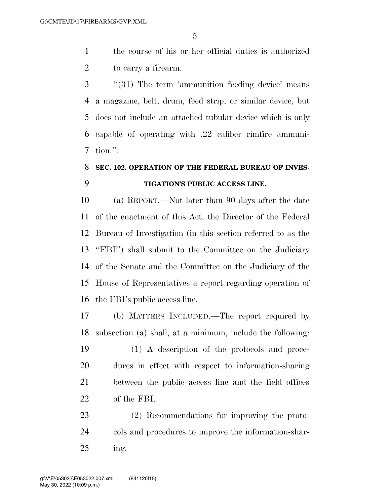the course of his or her official duties is authorized to carry a firearm.

3 ''(31) The term 'ammunition feeding device' means a magazine, belt, drum, feed strip, or similar device, but does not include an attached tubular device which is only capable of operating with .22 caliber rimfire ammuni-tion.''.

# **SEC. 102. OPERATION OF THE FEDERAL BUREAU OF INVES-TIGATION'S PUBLIC ACCESS LINE.**

 (a) REPORT.—Not later than 90 days after the date of the enactment of this Act, the Director of the Federal Bureau of Investigation (in this section referred to as the ''FBI'') shall submit to the Committee on the Judiciary of the Senate and the Committee on the Judiciary of the House of Representatives a report regarding operation of the FBI's public access line.

 (b) MATTERS INCLUDED.—The report required by subsection (a) shall, at a minimum, include the following:

 (1) A description of the protocols and proce- dures in effect with respect to information-sharing between the public access line and the field offices of the FBI.

 (2) Recommendations for improving the proto- cols and procedures to improve the information-shar-ing.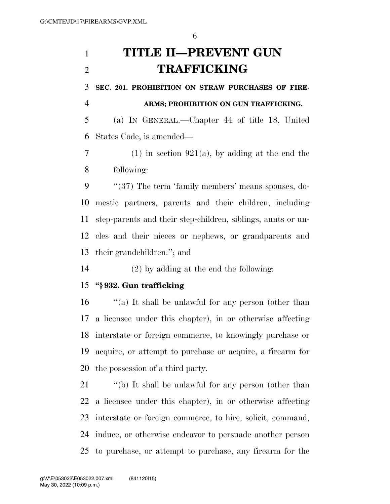# **TITLE II—PREVENT GUN TRAFFICKING**

**SEC. 201. PROHIBITION ON STRAW PURCHASES OF FIRE-**

**ARMS; PROHIBITION ON GUN TRAFFICKING.** 

 (a) IN GENERAL.—Chapter 44 of title 18, United States Code, is amended—

7 (1) in section 921(a), by adding at the end the following:

9 "(37) The term 'family members' means spouses, do- mestic partners, parents and their children, including step-parents and their step-children, siblings, aunts or un- cles and their nieces or nephews, or grandparents and their grandchildren.''; and

(2) by adding at the end the following:

## **''§ 932. Gun trafficking**

 ''(a) It shall be unlawful for any person (other than a licensee under this chapter), in or otherwise affecting interstate or foreign commerce, to knowingly purchase or acquire, or attempt to purchase or acquire, a firearm for the possession of a third party.

 ''(b) It shall be unlawful for any person (other than a licensee under this chapter), in or otherwise affecting interstate or foreign commerce, to hire, solicit, command, induce, or otherwise endeavor to persuade another person to purchase, or attempt to purchase, any firearm for the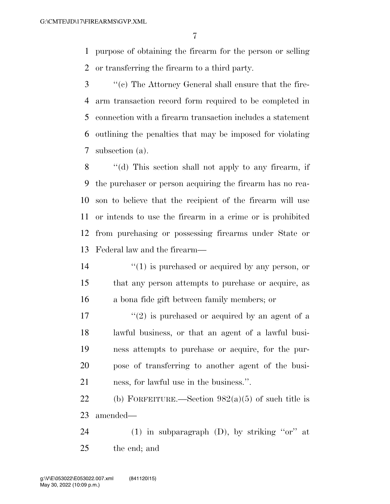purpose of obtaining the firearm for the person or selling or transferring the firearm to a third party.

 ''(c) The Attorney General shall ensure that the fire- arm transaction record form required to be completed in connection with a firearm transaction includes a statement outlining the penalties that may be imposed for violating subsection (a).

 ''(d) This section shall not apply to any firearm, if the purchaser or person acquiring the firearm has no rea- son to believe that the recipient of the firearm will use or intends to use the firearm in a crime or is prohibited from purchasing or possessing firearms under State or Federal law and the firearm—

14  $\frac{1}{2}$  (1) is purchased or acquired by any person, or that any person attempts to purchase or acquire, as a bona fide gift between family members; or

 $\mathcal{L}'(2)$  is purchased or acquired by an agent of a lawful business, or that an agent of a lawful busi- ness attempts to purchase or acquire, for the pur- pose of transferring to another agent of the busi-ness, for lawful use in the business.''.

22 (b) FORFEITURE.—Section  $982(a)(5)$  of such title is amended—

24 (1) in subparagraph  $(D)$ , by striking "or" at the end; and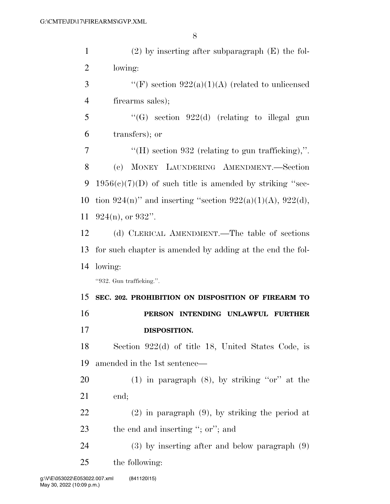| $\mathbf{1}$   | $(2)$ by inserting after subparagraph $(E)$ the fol-       |
|----------------|------------------------------------------------------------|
| $\overline{2}$ | lowing:                                                    |
| 3              | "(F) section $922(a)(1)(A)$ (related to unlicensed         |
| $\overline{4}$ | firearms sales);                                           |
| 5              | "(G) section $922(d)$ (relating to illegal gun             |
| 6              | transfers); or                                             |
| $\overline{7}$ | "(H) section 932 (relating to gun trafficking),".          |
| 8              | (c) MONEY LAUNDERING AMENDMENT.-Section                    |
| 9              | $1956(c)(7)(D)$ of such title is amended by striking "sec- |
| 10             | tion 924(n)" and inserting "section 922(a)(1)(A), 922(d),  |
| 11             | $924(n)$ , or $932$ ".                                     |
| 12             | (d) CLERICAL AMENDMENT.—The table of sections              |
| 13             | for such chapter is amended by adding at the end the fol-  |
|                |                                                            |
| 14             | lowing:                                                    |
|                | "932. Gun trafficking.".                                   |
| 15             | SEC. 202. PROHIBITION ON DISPOSITION OF FIREARM TO         |
| 16             | PERSON INTENDING UNLAWFUL FURTHER                          |
| 17             | DISPOSITION.                                               |
| 18             | Section $922(d)$ of title 18, United States Code, is       |
| 19             | amended in the 1st sentence—                               |
| 20             | (1) in paragraph $(8)$ , by striking "or" at the           |
| 21             | end;                                                       |
| 22             | $(2)$ in paragraph $(9)$ , by striking the period at       |
| 23             | the end and inserting "; or"; and                          |
| 24             | $(3)$ by inserting after and below paragraph $(9)$         |
| 25             | the following:                                             |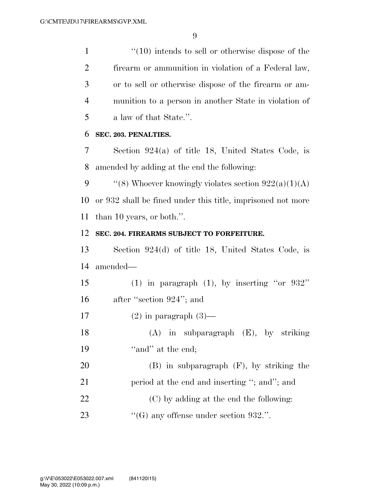1 ''(10) intends to sell or otherwise dispose of the firearm or ammunition in violation of a Federal law, or to sell or otherwise dispose of the firearm or am- munition to a person in another State in violation of a law of that State.''.

### **SEC. 203. PENALTIES.**

 Section 924(a) of title 18, United States Code, is amended by adding at the end the following:

9  $\qquad$  "(8) Whoever knowingly violates section  $922(a)(1)(A)$  or 932 shall be fined under this title, imprisoned not more than 10 years, or both.''.

### **SEC. 204. FIREARMS SUBJECT TO FORFEITURE.**

 Section 924(d) of title 18, United States Code, is amended—

 (1) in paragraph (1), by inserting ''or 932'' after ''section 924''; and

17 (2) in paragraph  $(3)$ —

 (A) in subparagraph (E), by striking 19  $"and"$  at the end;

 (B) in subparagraph (F), by striking the 21 period at the end and inserting "; and"; and (C) by adding at the end the following:

23  $\frac{1}{100}$  (G) any offense under section 932.".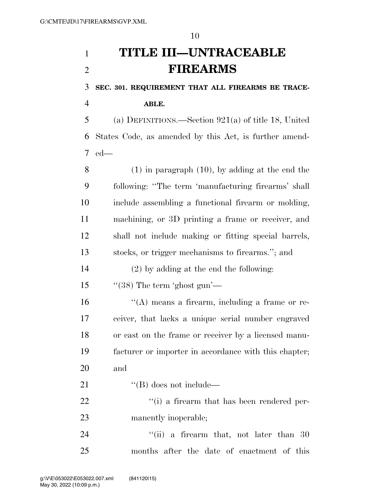# **TITLE III—UNTRACEABLE FIREARMS**

**SEC. 301. REQUIREMENT THAT ALL FIREARMS BE TRACE-**

**ABLE.** 

 (a) DEFINITIONS.—Section 921(a) of title 18, United States Code, as amended by this Act, is further amend-ed—

 (1) in paragraph (10), by adding at the end the following: ''The term 'manufacturing firearms' shall include assembling a functional firearm or molding, machining, or 3D printing a frame or receiver, and shall not include making or fitting special barrels, stocks, or trigger mechanisms to firearms.''; and

(2) by adding at the end the following:

15  $\frac{1}{(38)}$  The term 'ghost gun'—

 ''(A) means a firearm, including a frame or re- ceiver, that lacks a unique serial number engraved or cast on the frame or receiver by a licensed manu- facturer or importer in accordance with this chapter; and

21  $\text{``(B) does not include—}\$ 

22  $\frac{1}{2}$  (i) a firearm that has been rendered per-manently inoperable;

24 ''(ii) a firearm that, not later than 30 months after the date of enactment of this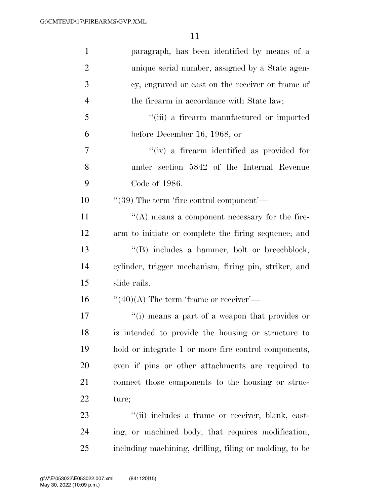| $\mathbf{1}$   | paragraph, has been identified by means of a            |
|----------------|---------------------------------------------------------|
| $\overline{2}$ | unique serial number, assigned by a State agen-         |
| 3              | cy, engraved or cast on the receiver or frame of        |
| $\overline{4}$ | the firearm in accordance with State law;               |
| 5              | "(iii) a firearm manufactured or imported               |
| 6              | before December 16, 1968; or                            |
| 7              | "(iv) a firearm identified as provided for              |
| 8              | under section 5842 of the Internal Revenue              |
| 9              | Code of 1986.                                           |
| 10             | $\cdot\cdot(39)$ The term 'fire control component'—     |
| 11             | $\lq\lq$ means a component necessary for the fire-      |
| 12             | arm to initiate or complete the firing sequence; and    |
| 13             | "(B) includes a hammer, bolt or breechblock,            |
| 14             | cylinder, trigger mechanism, firing pin, striker, and   |
| 15             | slide rails.                                            |
| 16             | $\lq(40)(A)$ The term 'frame or receiver'—              |
| 17             | "(i) means a part of a weapon that provides or          |
| 18             | is intended to provide the housing or structure to      |
| 19             | hold or integrate 1 or more fire control components,    |
| 20             | even if pins or other attachments are required to       |
| 21             | connect those components to the housing or struc-       |
| 22             | ture;                                                   |
| 23             | "(ii) includes a frame or receiver, blank, cast-        |
| 24             | ing, or machined body, that requires modification,      |
| 25             | including machining, drilling, filing or molding, to be |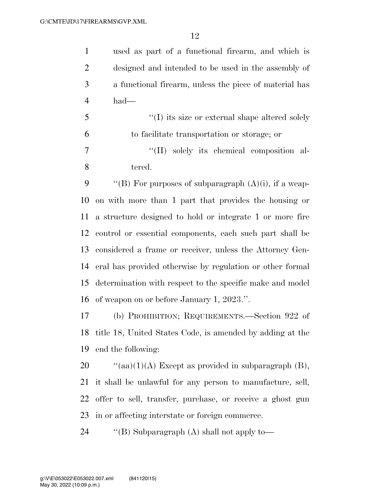used as part of a functional firearm, and which is designed and intended to be used in the assembly of a functional firearm, unless the piece of material has had—

 ''(I) its size or external shape altered solely to facilitate transportation or storage; or

 ''(II) solely its chemical composition al-tered.

 $\langle$  "(B) For purposes of subparagraph  $(A)(i)$ , if a weap- on with more than 1 part that provides the housing or a structure designed to hold or integrate 1 or more fire control or essential components, each such part shall be considered a frame or receiver, unless the Attorney Gen- eral has provided otherwise by regulation or other formal determination with respect to the specific make and model of weapon on or before January 1, 2023.''.

 (b) PROHIBITION; REQUIREMENTS.—Section 922 of title 18, United States Code, is amended by adding at the end the following:

 $\text{``(aa)(1)(A)}$  Except as provided in subparagraph (B), it shall be unlawful for any person to manufacture, sell, offer to sell, transfer, purchase, or receive a ghost gun in or affecting interstate or foreign commerce.

24 ''(B) Subparagraph (A) shall not apply to-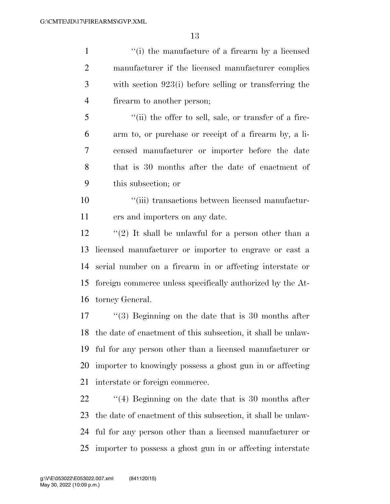1 ''(i) the manufacture of a firearm by a licensed manufacturer if the licensed manufacturer complies with section 923(i) before selling or transferring the firearm to another person; ''(ii) the offer to sell, sale, or transfer of a fire- arm to, or purchase or receipt of a firearm by, a li- censed manufacturer or importer before the date that is 30 months after the date of enactment of this subsection; or ''(iii) transactions between licensed manufactur- ers and importers on any date. ''(2) It shall be unlawful for a person other than a licensed manufacturer or importer to engrave or cast a serial number on a firearm in or affecting interstate or foreign commerce unless specifically authorized by the At- torney General. ''(3) Beginning on the date that is 30 months after the date of enactment of this subsection, it shall be unlaw- ful for any person other than a licensed manufacturer or importer to knowingly possess a ghost gun in or affecting

interstate or foreign commerce.

22 ''(4) Beginning on the date that is 30 months after the date of enactment of this subsection, it shall be unlaw- ful for any person other than a licensed manufacturer or importer to possess a ghost gun in or affecting interstate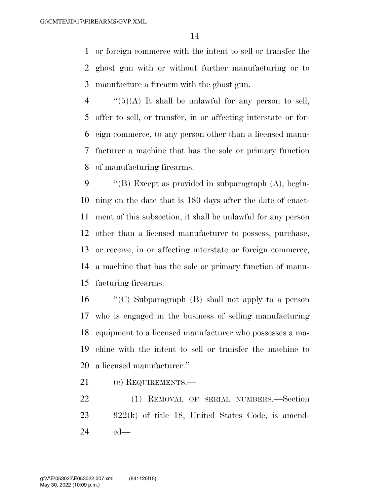or foreign commerce with the intent to sell or transfer the ghost gun with or without further manufacturing or to manufacture a firearm with the ghost gun.

 $\frac{4}{5}(5)(A)$  It shall be unlawful for any person to sell, offer to sell, or transfer, in or affecting interstate or for- eign commerce, to any person other than a licensed manu- facturer a machine that has the sole or primary function of manufacturing firearms.

 $\langle$  "(B) Except as provided in subparagraph (A), begin- ning on the date that is 180 days after the date of enact- ment of this subsection, it shall be unlawful for any person other than a licensed manufacturer to possess, purchase, or receive, in or affecting interstate or foreign commerce, a machine that has the sole or primary function of manu-facturing firearms.

 ''(C) Subparagraph (B) shall not apply to a person who is engaged in the business of selling manufacturing equipment to a licensed manufacturer who possesses a ma- chine with the intent to sell or transfer the machine to a licensed manufacturer.''.

21 (c) REQUIREMENTS.—

 (1) REMOVAL OF SERIAL NUMBERS.—Section 922(k) of title 18, United States Code, is amend-ed—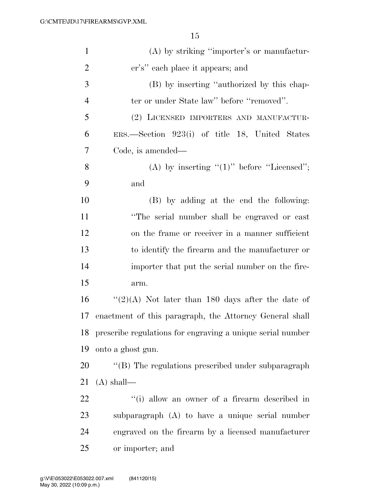| $\mathbf{1}$   | $(A)$ by striking "importer's or manufactur-               |
|----------------|------------------------------------------------------------|
| $\overline{2}$ | er's" each place it appears; and                           |
| 3              | (B) by inserting "authorized by this chap-                 |
| $\overline{4}$ | ter or under State law" before "removed".                  |
| 5              | (2) LICENSED IMPORTERS AND MANUFACTUR-                     |
| 6              | ERS.—Section 923(i) of title 18, United States             |
| 7              | Code, is amended—                                          |
| 8              | (A) by inserting " $(1)$ " before "Licensed";              |
| 9              | and                                                        |
| 10             | (B) by adding at the end the following:                    |
| 11             | "The serial number shall be engraved or cast               |
| 12             | on the frame or receiver in a manner sufficient            |
| 13             | to identify the firearm and the manufacturer or            |
| 14             | importer that put the serial number on the fire-           |
| 15             | arm.                                                       |
| 16             | " $(2)(A)$ Not later than 180 days after the date of       |
| 17             | enactment of this paragraph, the Attorney General shall    |
| 18             | prescribe regulations for engraving a unique serial number |
| 19             | onto a ghost gun.                                          |
| 20             | "(B) The regulations prescribed under subparagraph         |
| 21             | $(A)$ shall—                                               |
| 22             | "(i) allow an owner of a firearm described in              |
| 23             | subparagraph $(A)$ to have a unique serial number          |
| 24             | engraved on the firearm by a licensed manufacturer         |
| 25             | or importer; and                                           |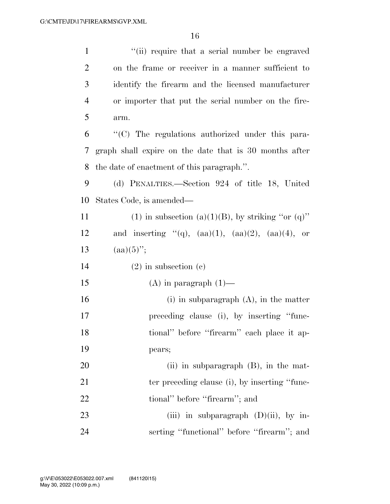| $\mathbf{1}$   | "(ii) require that a serial number be engraved             |
|----------------|------------------------------------------------------------|
| $\overline{2}$ | on the frame or receiver in a manner sufficient to         |
| 3              | identify the firearm and the licensed manufacturer         |
| $\overline{4}$ | or importer that put the serial number on the fire-        |
| 5              | arm.                                                       |
| 6              | "(C) The regulations authorized under this para-           |
| 7              | graph shall expire on the date that is 30 months after     |
| 8              | the date of enactment of this paragraph.".                 |
| 9              | (d) PENALTIES.—Section 924 of title 18, United             |
| 10             | States Code, is amended—                                   |
| 11             | (1) in subsection (a)(1)(B), by striking "or (q)"          |
| 12             | and inserting "(q), $(aa)(1)$ , $(aa)(2)$ , $(aa)(4)$ , or |
| 13             | $(aa)(5)$ ";                                               |
| 14             | $(2)$ in subsection $(e)$                                  |
| 15             | $(A)$ in paragraph $(1)$ —                                 |
| 16             | $(i)$ in subparagraph $(A)$ , in the matter                |
| 17             | preceding clause (i), by inserting "func-                  |
| 18             | tional" before "firearm" each place it ap-                 |
| 19             | pears;                                                     |
| 20             | $(ii)$ in subparagraph $(B)$ , in the mat-                 |
| 21             | ter preceding clause (i), by inserting "func-              |
| 22             | tional" before "firearm"; and                              |
| 23             | (iii) in subparagraph $(D)(ii)$ , by in-                   |
| 24             | serting "functional" before "firearm"; and                 |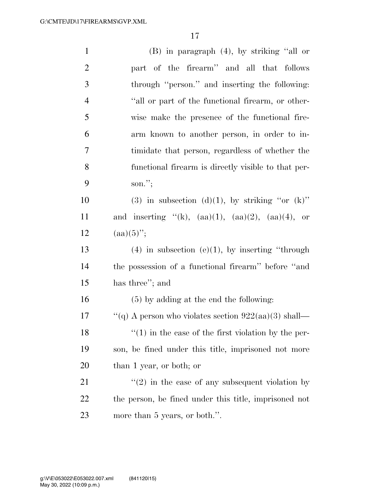| $\mathbf{1}$   | $(B)$ in paragraph $(4)$ , by striking "all or             |
|----------------|------------------------------------------------------------|
| $\overline{2}$ | part of the firearm" and all that follows                  |
| 3              | through "person." and inserting the following:             |
| $\overline{4}$ | "all or part of the functional firearm, or other-          |
| $\mathfrak{S}$ | wise make the presence of the functional fire-             |
| 6              | arm known to another person, in order to in-               |
| $\tau$         | timidate that person, regardless of whether the            |
| 8              | functional firearm is directly visible to that per-        |
| 9              | son.";                                                     |
| 10             | (3) in subsection (d)(1), by striking "or $(k)$ "          |
| 11             | and inserting "(k), $(aa)(1)$ , $(aa)(2)$ , $(aa)(4)$ , or |
| 12             | $(aa)(5)$ ";                                               |
| 13             | $(4)$ in subsection $(e)(1)$ , by inserting "through       |
| 14             | the possession of a functional firearm" before "and        |
| 15             | has three"; and                                            |
| 16             | $(5)$ by adding at the end the following:                  |
| 17             | "(q) A person who violates section $922(aa)(3)$ shall—     |
| 18             | $\lq(1)$ in the case of the first violation by the per-    |
| 19             | son, be fined under this title, imprisoned not more        |
| 20             | than 1 year, or both; or                                   |
| 21             | $f'(2)$ in the case of any subsequent violation by         |
| 22             | the person, be fined under this title, imprisoned not      |
| 23             | more than 5 years, or both.".                              |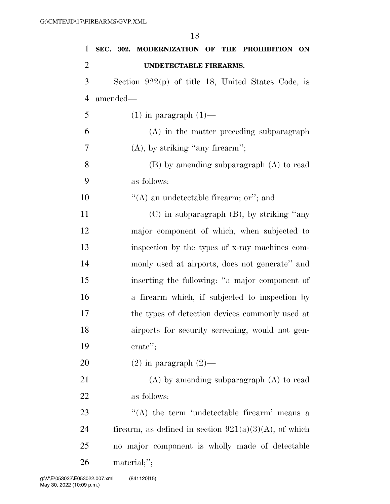|                | 18                                                   |
|----------------|------------------------------------------------------|
| $\mathbf{1}$   | SEC. 302. MODERNIZATION OF THE PROHIBITION ON        |
| $\overline{2}$ | UNDETECTABLE FIREARMS.                               |
| 3              | Section $922(p)$ of title 18, United States Code, is |
| $\overline{4}$ | amended—                                             |
| 5              | $(1)$ in paragraph $(1)$ —                           |
| 6              | (A) in the matter preceding subparagraph             |
| 7              | $(A)$ , by striking "any firearm";                   |
| 8              | $(B)$ by amending subparagraph $(A)$ to read         |
| 9              | as follows:                                          |
| 10             | "(A) an undetectable firearm; or"; and               |
| 11             | $(C)$ in subparagraph $(B)$ , by striking "any       |
| 12             | major component of which, when subjected to          |
| 13             | inspection by the types of x-ray machines com-       |
| 14             | monly used at airports, does not generate" and       |
| 15             | inserting the following: "a major component of       |
| 16             | a firearm which, if subjected to inspection by       |
| 17             | the types of detection devices commonly used at      |
| 18             | airports for security screening, would not gen-      |
| 19             | erate";                                              |
| 20             | $(2)$ in paragraph $(2)$ —                           |
| 21             | $(A)$ by amending subparagraph $(A)$ to read         |
| 22             | as follows:                                          |
| າາ             |                                                      |

 $\langle A \rangle$  the term 'undetectable firearm' means a 24 firearm, as defined in section  $921(a)(3)(A)$ , of which no major component is wholly made of detectable material;'';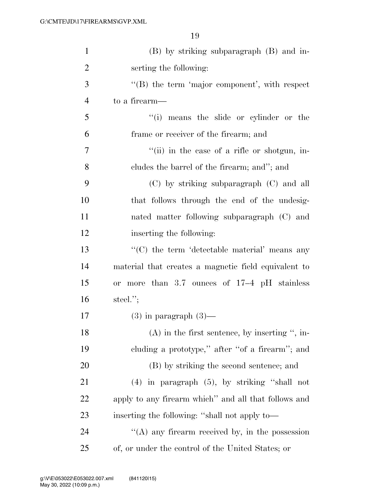| $\mathbf{1}$   | (B) by striking subparagraph (B) and in-                |
|----------------|---------------------------------------------------------|
| $\overline{2}$ | serting the following:                                  |
| 3              | $\lq\lq$ the term 'major component', with respect       |
| $\overline{4}$ | to a firearm—                                           |
| 5              | "(i) means the slide or cylinder or the                 |
| 6              | frame or receiver of the firearm; and                   |
| $\overline{7}$ | "(ii) in the case of a rifle or shotgun, in-            |
| 8              | cludes the barrel of the firearm; and"; and             |
| 9              | $(C)$ by striking subparagraph $(C)$ and all            |
| 10             | that follows through the end of the undesig-            |
| 11             | nated matter following subparagraph (C) and             |
| 12             | inserting the following:                                |
| 13             | "(C) the term 'detectable material' means any           |
| 14             | material that creates a magnetic field equivalent to    |
| 15             | or more than $3.7$ ounces of $17-4$ pH stainless        |
| 16             | steel. $";$                                             |
| 17             | $(3)$ in paragraph $(3)$ —                              |
| 18             | $(A)$ in the first sentence, by inserting ", in-        |
| 19             | cluding a prototype," after "of a firearm"; and         |
| 20             | (B) by striking the second sentence; and                |
| 21             | $(4)$ in paragraph $(5)$ , by striking "shall not       |
| <u>22</u>      | apply to any firearm which" and all that follows and    |
| 23             | inserting the following: "shall not apply to—           |
| 24             | $\lq\lq$ (A) any firearm received by, in the possession |
| 25             | of, or under the control of the United States; or       |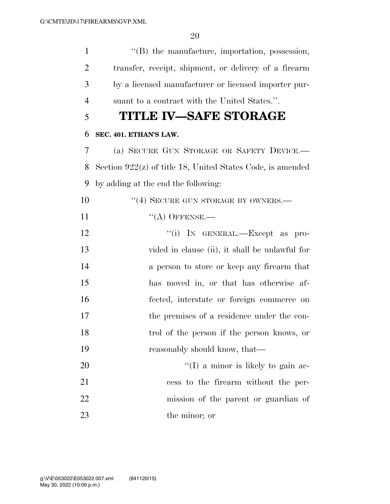| $\mathbf{1}$   | "(B) the manufacture, importation, possession,               |
|----------------|--------------------------------------------------------------|
| $\overline{2}$ | transfer, receipt, shipment, or delivery of a firearm        |
| 3              | by a licensed manufacturer or licensed importer pur-         |
| $\overline{4}$ | suant to a contract with the United States.".                |
| 5              | TITLE IV–SAFE STORAGE                                        |
| 6              | SEC. 401. ETHAN'S LAW.                                       |
| 7              | (a) SECURE GUN STORAGE OR SAFETY DEVICE.-                    |
| 8              | Section $922(z)$ of title 18, United States Code, is amended |
| 9              | by adding at the end the following:                          |
| 10             | "(4) SECURE GUN STORAGE BY OWNERS.-                          |
| 11             | $``(A)$ OFFENSE.—                                            |
| 12             | "(i) IN GENERAL.—Except as pro-                              |
| 13             | vided in clause (ii), it shall be unlawful for               |
| 14             | a person to store or keep any firearm that                   |
| 15             | has moved in, or that has otherwise af-                      |
| 16             | fected, interstate or foreign commerce on                    |
| 17             | the premises of a residence under the con-                   |
| 18             | trol of the person if the person knows, or                   |
| 19             | reasonably should know, that—                                |
| 20             | $\lq(1)$ a minor is likely to gain ac-                       |
| 21             | cess to the firearm without the per-                         |
| 22             | mission of the parent or guardian of                         |
| 23             | the minor; or                                                |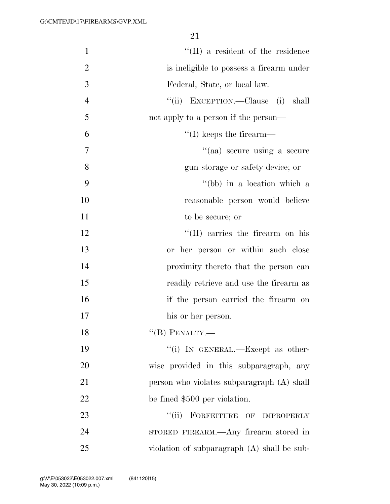| $\mathbf{1}$   | $\lq\lq$ (II) a resident of the residence   |
|----------------|---------------------------------------------|
| $\overline{2}$ | is ineligible to possess a firearm under    |
| 3              | Federal, State, or local law.               |
| $\overline{4}$ | "(ii) EXCEPTION.—Clause (i) shall           |
| 5              | not apply to a person if the person—        |
| 6              | $\lq\lq$ (I) keeps the firearm—             |
| 7              | "(aa) secure using a secure                 |
| 8              | gun storage or safety device; or            |
| 9              | "(bb) in a location which a                 |
| 10             | reasonable person would believe             |
| 11             | to be secure; or                            |
| 12             | "(II) carries the firearm on his            |
| 13             | or her person or within such close          |
| 14             | proximity thereto that the person can       |
| 15             | readily retrieve and use the firearm as     |
| 16             | if the person carried the firearm on        |
| 17             | his or her person.                          |
| 18             | "(B) PENALTY.—                              |
| 19             | "(i) IN GENERAL.—Except as other-           |
| 20             | wise provided in this subparagraph, any     |
| 21             | person who violates subparagraph (A) shall  |
| $22\,$         | be fined \$500 per violation.               |
| 23             | FORFEITURE OF IMPROPERLY<br>``(ii)          |
| 24             | STORED FIREARM.—Any firearm stored in       |
| 25             | violation of subparagraph (A) shall be sub- |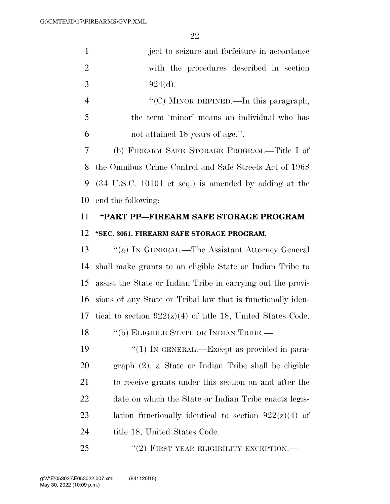1 ject to seizure and forfeiture in accordance 2 with the procedures described in section 3  $924(d)$ .

4  $\text{``(C)}$  MINOR DEFINED.—In this paragraph, 5 the term 'minor' means an individual who has 6 not attained 18 years of age.''.

 (b) FIREARM SAFE STORAGE PROGRAM.—Title I of the Omnibus Crime Control and Safe Streets Act of 1968 (34 U.S.C. 10101 et seq.) is amended by adding at the end the following:

# 11 **''PART PP—FIREARM SAFE STORAGE PROGRAM**  12 **''SEC. 3051. FIREARM SAFE STORAGE PROGRAM.**

 ''(a) IN GENERAL.—The Assistant Attorney General shall make grants to an eligible State or Indian Tribe to assist the State or Indian Tribe in carrying out the provi- sions of any State or Tribal law that is functionally iden-17 tical to section  $922(z)(4)$  of title 18, United States Code.

18 "(b) ELIGIBLE STATE OR INDIAN TRIBE.—

19  $\frac{1}{2}$  (1) In GENERAL.—Except as provided in para-20 graph (2), a State or Indian Tribe shall be eligible 21 to receive grants under this section on and after the 22 date on which the State or Indian Tribe enacts legis-23 lation functionally identical to section  $922(z)(4)$  of 24 title 18, United States Code.

25 "(2) FIRST YEAR ELIGIBILITY EXCEPTION.—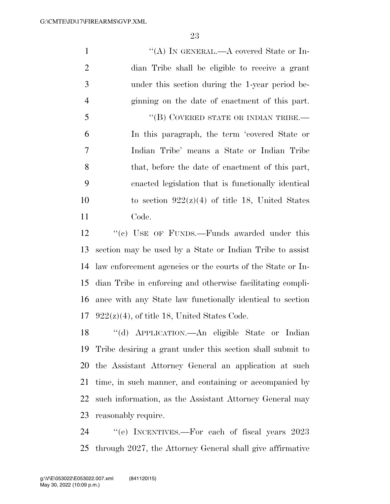| $\mathbf{1}$   | "(A) IN GENERAL.—A covered State or In-                  |
|----------------|----------------------------------------------------------|
| $\overline{2}$ | dian Tribe shall be eligible to receive a grant          |
| 3              | under this section during the 1-year period be-          |
| $\overline{4}$ | ginning on the date of enactment of this part.           |
| 5              | "(B) COVERED STATE OR INDIAN TRIBE.—                     |
| 6              | In this paragraph, the term 'covered State or            |
| $\tau$         | Indian Tribe' means a State or Indian Tribe              |
| 8              | that, before the date of enactment of this part,         |
| 9              | enacted legislation that is functionally identical       |
| 10             | to section $922(z)(4)$ of title 18, United States        |
| 11             | Code.                                                    |
| 12             | "(c) USE OF FUNDS.—Funds awarded under this              |
| 13             | section may be used by a State or Indian Tribe to assist |
|                | $\cdots$ $\cdots$ $\cdots$                               |

 law enforcement agencies or the courts of the State or In- dian Tribe in enforcing and otherwise facilitating compli- ance with any State law functionally identical to section  $922(z)(4)$ , of title 18, United States Code.

 ''(d) APPLICATION.—An eligible State or Indian Tribe desiring a grant under this section shall submit to the Assistant Attorney General an application at such time, in such manner, and containing or accompanied by such information, as the Assistant Attorney General may reasonably require.

24 "(e) INCENTIVES.—For each of fiscal years 2023 through 2027, the Attorney General shall give affirmative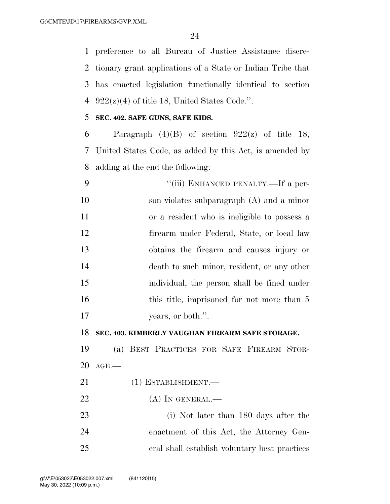preference to all Bureau of Justice Assistance discre- tionary grant applications of a State or Indian Tribe that has enacted legislation functionally identical to section  $922(z)(4)$  of title 18, United States Code.".

### **SEC. 402. SAFE GUNS, SAFE KIDS.**

6 Paragraph  $(4)(B)$  of section  $922(z)$  of title 18, United States Code, as added by this Act, is amended by adding at the end the following:

9 "'(iii) ENHANCED PENALTY.—If a per- son violates subparagraph (A) and a minor or a resident who is ineligible to possess a firearm under Federal, State, or local law obtains the firearm and causes injury or death to such minor, resident, or any other individual, the person shall be fined under 16 this title, imprisoned for not more than 5 17 vears, or both.".

### **SEC. 403. KIMBERLY VAUGHAN FIREARM SAFE STORAGE.**

 (a) BEST PRACTICES FOR SAFE FIREARM STOR-AGE.—

- 21 (1) ESTABLISHMENT.
- 22 (A) IN GENERAL.—
- (i) Not later than 180 days after the enactment of this Act, the Attorney Gen-eral shall establish voluntary best practices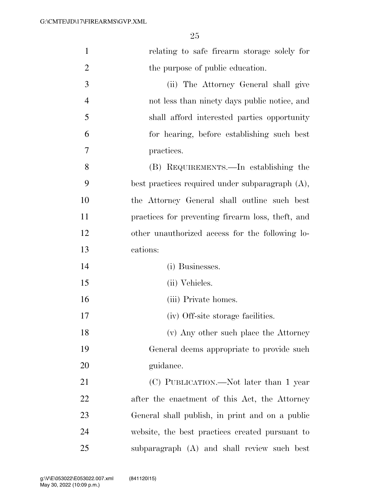| $\mathbf{1}$   | relating to safe firearm storage solely for        |
|----------------|----------------------------------------------------|
| $\overline{2}$ | the purpose of public education.                   |
| 3              | (ii) The Attorney General shall give               |
| $\overline{4}$ | not less than ninety days public notice, and       |
| 5              | shall afford interested parties opportunity        |
| 6              | for hearing, before establishing such best         |
| 7              | practices.                                         |
| 8              | (B) REQUIREMENTS.—In establishing the              |
| 9              | best practices required under subparagraph $(A)$ , |
| 10             | the Attorney General shall outline such best       |
| 11             | practices for preventing firearm loss, theft, and  |
| 12             | other unauthorized access for the following lo-    |
| 13             | cations:                                           |
| 14             | (i) Businesses.                                    |
| 15             | (ii) Vehicles.                                     |
| 16             | (iii) Private homes.                               |
| 17             | (iv) Off-site storage facilities.                  |
| 18             | (v) Any other such place the Attorney              |
| 19             | General deems appropriate to provide such          |
| 20             | guidance.                                          |
| 21             | (C) PUBLICATION.—Not later than 1 year             |
| <u>22</u>      | after the enactment of this Act, the Attorney      |
| 23             | General shall publish, in print and on a public    |
| 24             | website, the best practices created pursuant to    |
| 25             | subparagraph (A) and shall review such best        |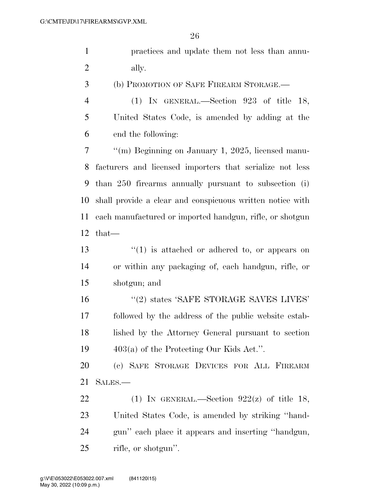|                | 26                                                        |
|----------------|-----------------------------------------------------------|
| $\mathbf{1}$   | practices and update them not less than annu-             |
| $\overline{c}$ | ally.                                                     |
| 3              | (b) PROMOTION OF SAFE FIREARM STORAGE.                    |
| $\overline{4}$ | (1) IN GENERAL.—Section $923$ of title 18,                |
| 5              | United States Code, is amended by adding at the           |
| 6              | end the following:                                        |
| 7              | "(m) Beginning on January 1, 2025, licensed manu-         |
| 8              | facturers and licensed importers that serialize not less  |
| 9              | than 250 firearms annually pursuant to subsection (i)     |
| 10             | shall provide a clear and conspicuous written notice with |
| 11             | each manufactured or imported handgun, rifle, or shotgun  |
| 12             | $that-$                                                   |
| 13             | $\lq(1)$ is attached or adhered to, or appears on         |
| 14             | or within any packaging of, each handgun, rifle, or       |
| 15             | shotgun; and                                              |
| 16             | "(2) states 'SAFE STORAGE SAVES LIVES'                    |
| 17             | followed by the address of the public website estab-      |
| 18             | lished by the Attorney General pursuant to section        |
| 19             | $403(a)$ of the Protecting Our Kids Act.".                |
| 20             | (c) SAFE STORAGE DEVICES FOR ALL FIREARM                  |
| 21             | SALES.—                                                   |

22 (1) IN GENERAL.—Section  $922(z)$  of title 18, United States Code, is amended by striking ''hand- gun'' each place it appears and inserting ''handgun, rifle, or shotgun''.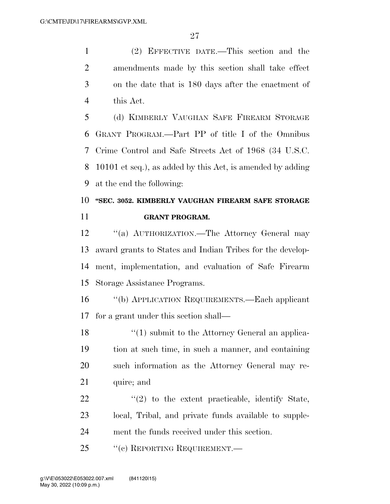(2) EFFECTIVE DATE.—This section and the amendments made by this section shall take effect on the date that is 180 days after the enactment of this Act.

 (d) KIMBERLY VAUGHAN SAFE FIREARM STORAGE GRANT PROGRAM.—Part PP of title I of the Omnibus Crime Control and Safe Streets Act of 1968 (34 U.S.C. 10101 et seq.), as added by this Act, is amended by adding at the end the following:

# **''SEC. 3052. KIMBERLY VAUGHAN FIREARM SAFE STORAGE GRANT PROGRAM.**

12 "(a) AUTHORIZATION.—The Attorney General may award grants to States and Indian Tribes for the develop- ment, implementation, and evaluation of Safe Firearm Storage Assistance Programs.

 ''(b) APPLICATION REQUIREMENTS.—Each applicant for a grant under this section shall—

18 ''(1) submit to the Attorney General an applica- tion at such time, in such a manner, and containing such information as the Attorney General may re-21 quire; and

22  $\frac{1}{2}$  to the extent practicable, identify State, local, Tribal, and private funds available to supple-ment the funds received under this section.

25 "(c) REPORTING REQUIREMENT.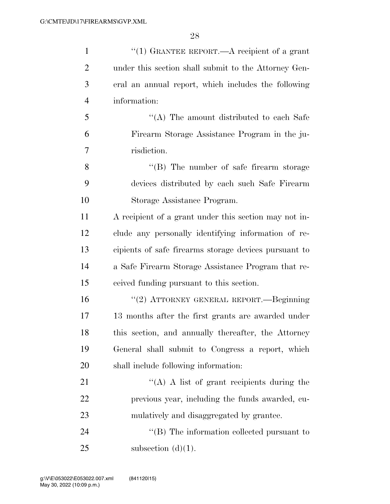| $\mathbf{1}$   | "(1) GRANTEE REPORT.—A recipient of a grant           |
|----------------|-------------------------------------------------------|
| $\overline{2}$ | under this section shall submit to the Attorney Gen-  |
| 3              | eral an annual report, which includes the following   |
| $\overline{4}$ | information:                                          |
| 5              | $\lq\lq$ . The amount distributed to each Safe        |
| 6              | Firearm Storage Assistance Program in the ju-         |
| 7              | risdiction.                                           |
| 8              | $\lq\lq (B)$ The number of safe firearm storage       |
| 9              | devices distributed by each such Safe Firearm         |
| 10             | Storage Assistance Program.                           |
| 11             | A recipient of a grant under this section may not in- |
| 12             | clude any personally identifying information of re-   |
| 13             | cipients of safe firearms storage devices pursuant to |
| 14             | a Safe Firearm Storage Assistance Program that re-    |
| 15             | ceived funding pursuant to this section.              |
| 16             | "(2) ATTORNEY GENERAL REPORT.—Beginning               |
| 17             | 13 months after the first grants are awarded under    |
| 18             | this section, and annually thereafter, the Attorney   |
| 19             | General shall submit to Congress a report, which      |
| 20             | shall include following information:                  |
| 21             | "(A) A list of grant recipients during the            |
| 22             | previous year, including the funds awarded, cu-       |
| 23             | mulatively and disaggregated by grantee.              |
| 24             | $\lq\lq$ (B) The information collected pursuant to    |
| 25             | subsection $(d)(1)$ .                                 |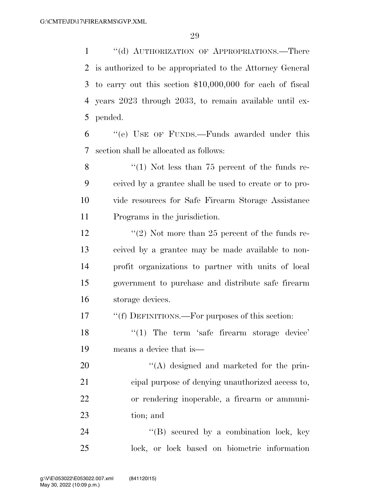''(d) AUTHORIZATION OF APPROPRIATIONS.—There is authorized to be appropriated to the Attorney General to carry out this section \$10,000,000 for each of fiscal years 2023 through 2033, to remain available until ex-pended.

 ''(e) USE OF FUNDS.—Funds awarded under this section shall be allocated as follows:

8 "(1) Not less than 75 percent of the funds re- ceived by a grantee shall be used to create or to pro- vide resources for Safe Firearm Storage Assistance Programs in the jurisdiction.

12 ''(2) Not more than 25 percent of the funds re- ceived by a grantee may be made available to non- profit organizations to partner with units of local government to purchase and distribute safe firearm storage devices.

''(f) DEFINITIONS.—For purposes of this section:

18 '(1) The term 'safe firearm storage device' means a device that is—

 $\langle (A)$  designed and marketed for the prin- cipal purpose of denying unauthorized access to, or rendering inoperable, a firearm or ammuni-tion; and

24 "(B) secured by a combination lock, key lock, or lock based on biometric information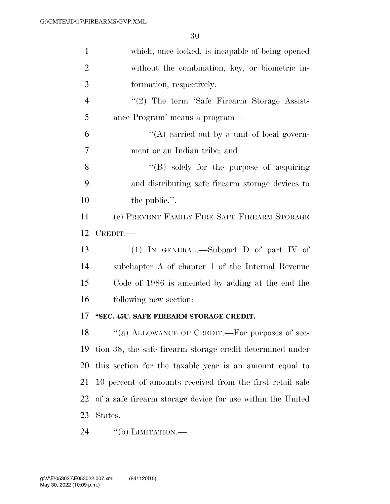| $\mathbf{1}$   | which, once locked, is incapable of being opened           |
|----------------|------------------------------------------------------------|
| $\overline{2}$ | without the combination, key, or biometric in-             |
| 3              | formation, respectively.                                   |
| $\overline{4}$ | $\lq(2)$ The term 'Safe Firearm Storage Assist-            |
| 5              | ance Program' means a program—                             |
| 6              | "(A) carried out by a unit of local govern-                |
| 7              | ment or an Indian tribe; and                               |
| 8              | $\lq\lq (B)$ solely for the purpose of acquiring           |
| 9              | and distributing safe firearm storage devices to           |
| 10             | the public.".                                              |
| 11             | (e) PREVENT FAMILY FIRE SAFE FIREARM STORAGE               |
| 12             | CREDIT.                                                    |
| 13             | (1) IN GENERAL.—Subpart D of part IV of                    |
| 14             | subchapter A of chapter 1 of the Internal Revenue          |
| 15             | Code of 1986 is amended by adding at the end the           |
| 16             | following new section:                                     |
| 17             |                                                            |
|                | "SEC. 45U. SAFE FIREARM STORAGE CREDIT.                    |
| 18             | "(a) ALLOWANCE OF CREDIT.—For purposes of sec-             |
| 19             | tion 38, the safe firearm storage credit determined under  |
| 20             | this section for the taxable year is an amount equal to    |
| 21             | 10 percent of amounts received from the first retail sale  |
| 22             | of a safe firearm storage device for use within the United |
| 23             | States.                                                    |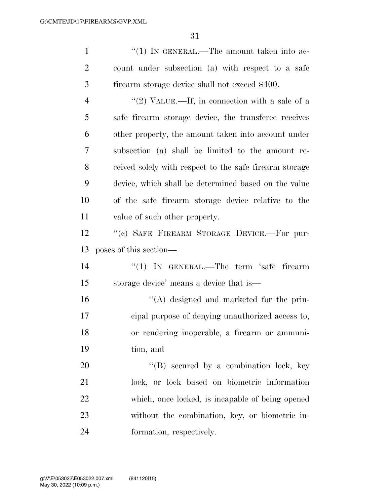| $\mathbf{1}$   | "(1) IN GENERAL.—The amount taken into ac-             |
|----------------|--------------------------------------------------------|
| $\overline{2}$ | count under subsection (a) with respect to a safe      |
| 3              | firearm storage device shall not exceed \$400.         |
| $\overline{4}$ | "(2) VALUE.—If, in connection with a sale of a         |
| 5              | safe firearm storage device, the transferee receives   |
| 6              | other property, the amount taken into account under    |
| 7              | subsection (a) shall be limited to the amount re-      |
| 8              | ceived solely with respect to the safe firearm storage |
| 9              | device, which shall be determined based on the value   |
| 10             | of the safe firearm storage device relative to the     |
| 11             | value of such other property.                          |
| 12             | "(c) SAFE FIREARM STORAGE DEVICE.-For pur-             |
|                |                                                        |
| 13             | poses of this section—                                 |
| 14             | "(1) IN GENERAL.—The term 'safe firearm                |
| 15             | storage device' means a device that is—                |
| 16             | "(A) designed and marketed for the prin-               |
| 17             | eipal purpose of denying unauthorized access to,       |
| 18             | or rendering inoperable, a firearm or ammuni-          |
| 19             | tion, and                                              |
| 20             | $\lq\lq (B)$ secured by a combination lock, key        |
| 21             | lock, or lock based on biometric information           |
| 22             | which, once locked, is incapable of being opened       |
| 23             | without the combination, key, or biometric in-         |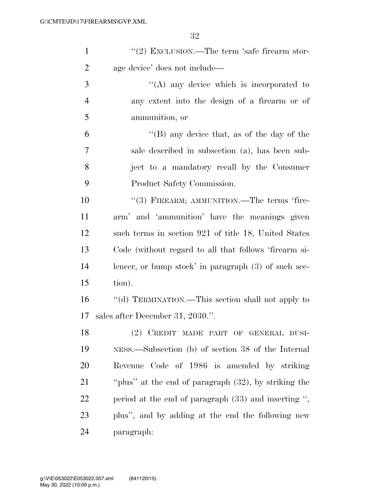| $\mathbf{1}$   | "(2) EXCLUSION.—The term 'safe firearm stor-           |
|----------------|--------------------------------------------------------|
| $\overline{2}$ | age device' does not include—                          |
| 3              | $\lq\lq$ any device which is incorporated to           |
| $\overline{4}$ | any extent into the design of a firearm or of          |
| 5              | ammunition, or                                         |
| 6              | "(B) any device that, as of the day of the             |
| 7              | sale described in subsection (a), has been sub-        |
| 8              | ject to a mandatory recall by the Consumer             |
| 9              | Product Safety Commission.                             |
| 10             | "(3) FIREARM; AMMUNITION.—The terms 'fire-             |
| 11             | arm' and 'ammunition' have the meanings given          |
| 12             | such terms in section 921 of title 18, United States   |
| 13             | Code (without regard to all that follows 'firearm si-  |
| 14             | lencer, or bump stock' in paragraph $(3)$ of such sec- |
| 15             | tion).                                                 |
| 16             | "(d) TERMINATION.—This section shall not apply to      |
| 17             | sales after December 31, 2030.".                       |
| 18             | (2) CREDIT MADE PART OF GENERAL BUSI-                  |
| 19             | NESS.—Subsection (b) of section 38 of the Internal     |
| 20             | Revenue Code of 1986 is amended by striking            |
| 21             | "plus" at the end of paragraph (32), by striking the   |
| 22             | period at the end of paragraph $(33)$ and inserting ", |
| 23             | plus", and by adding at the end the following new      |
| 24             | paragraph:                                             |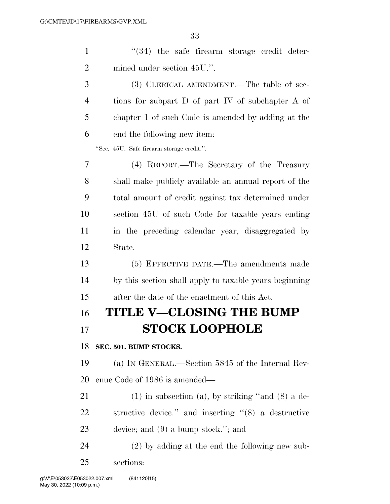| $\mathbf{1}$   | $\cdot$ (34) the safe firearm storage credit deter-        |
|----------------|------------------------------------------------------------|
| $\overline{2}$ | mined under section 45U.".                                 |
| 3              | (3) CLERICAL AMENDMENT.—The table of sec-                  |
| $\overline{4}$ | tions for subpart D of part IV of subchapter A of          |
| 5              | chapter 1 of such Code is amended by adding at the         |
| 6              | end the following new item:                                |
|                | "Sec. 45U. Safe firearm storage credit.".                  |
| 7              | (4) REPORT.—The Secretary of the Treasury                  |
| 8              | shall make publicly available an annual report of the      |
| 9              | total amount of credit against tax determined under        |
| 10             | section 45U of such Code for taxable years ending          |
| 11             | in the preceding calendar year, disaggregated by           |
| 12             | State.                                                     |
| 13             | (5) EFFECTIVE DATE.—The amendments made                    |
| 14             | by this section shall apply to taxable years beginning     |
| 15             | after the date of the enactment of this Act.               |
| 16             | TITLE V—CLOSING THE BUMP                                   |
| 17             | <b>STOCK LOOPHOLE</b>                                      |
| 18             | SEC. 501. BUMP STOCKS.                                     |
| 19             | (a) IN GENERAL.—Section 5845 of the Internal Rev-          |
| 20             | enue Code of 1986 is amended—                              |
| 21             | $(1)$ in subsection (a), by striking "and $(8)$ a de-      |
| <u>22</u>      | structive device." and inserting $\cdot (8)$ a destructive |
| 23             | device; and $(9)$ a bump stock."; and                      |
|                |                                                            |
| 24             | $(2)$ by adding at the end the following new sub-          |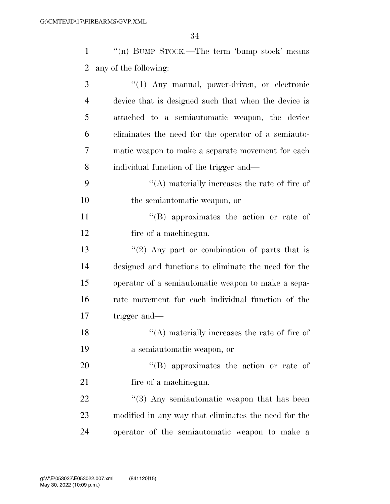1 ''(n) BUMP STOCK.—The term 'bump stock' means any of the following:

| 3              | "(1) Any manual, power-driven, or electronic            |
|----------------|---------------------------------------------------------|
| $\overline{4}$ | device that is designed such that when the device is    |
| 5              | attached to a semiautomatic weapon, the device          |
| 6              | eliminates the need for the operator of a semiauto-     |
| 7              | matic weapon to make a separate movement for each       |
| 8              | individual function of the trigger and—                 |
| 9              | $\lq\lq$ materially increases the rate of fire of       |
| 10             | the semiautomatic weapon, or                            |
| 11             | "(B) approximates the action or rate of                 |
| 12             | fire of a machinegun.                                   |
| 13             | "(2) Any part or combination of parts that is           |
| 14             | designed and functions to eliminate the need for the    |
| 15             | operator of a semiautomatic weapon to make a sepa-      |
| 16             | rate movement for each individual function of the       |
| 17             | trigger and—                                            |
| 18             | $\lq\lq$ materially increases the rate of fire of       |
| 19             | a semiautomatic weapon, or                              |
| 20             | $\lq\lq(B)$ approximates the action or rate of          |
| 21             | fire of a machinegun.                                   |
| 22             | $\cdot\cdot$ (3) Any semiautomatic weapon that has been |
| 23             | modified in any way that eliminates the need for the    |
| 24             | operator of the semiautomatic weapon to make a          |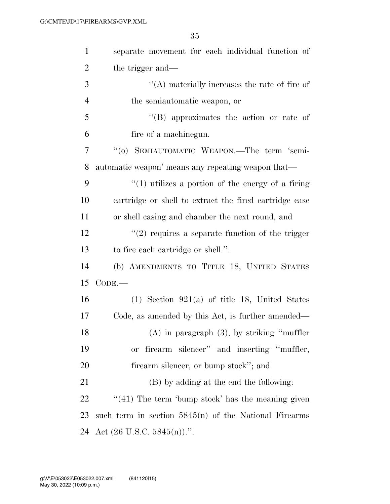| $\mathbf{1}$   | separate movement for each individual function of       |
|----------------|---------------------------------------------------------|
| $\overline{2}$ | the trigger and—                                        |
| 3              | $\lq\lq$ materially increases the rate of fire of       |
| $\overline{4}$ | the semiautomatic weapon, or                            |
| 5              | $\lq\lq$ approximates the action or rate of             |
| 6              | fire of a machinegun.                                   |
| 7              | "(o) SEMIAUTOMATIC WEAPON.—The term 'semi-              |
| 8              | automatic weapon' means any repeating weapon that—      |
| 9              | $\lq(1)$ utilizes a portion of the energy of a firing   |
| 10             | cartridge or shell to extract the fired cartridge case  |
| 11             | or shell casing and chamber the next round, and         |
| 12             | $\lq(2)$ requires a separate function of the trigger    |
| 13             | to fire each cartridge or shell.".                      |
| 14             | (b) AMENDMENTS TO TITLE 18, UNITED STATES               |
| 15             | $CODE.$ —                                               |
| 16             | $(1)$ Section 921(a) of title 18, United States         |
| 17             | Code, as amended by this Act, is further amended—       |
| 18             | $(A)$ in paragraph $(3)$ , by striking "muffler"        |
| 19             | firearm silencer" and inserting "muffler,<br><b>or</b>  |
| 20             | firearm silencer, or bump stock"; and                   |
| 21             | (B) by adding at the end the following:                 |
| 22             | $\lq(41)$ The term 'bump stock' has the meaning given   |
| 23             | such term in section $5845(n)$ of the National Firearms |
| 24             | Act $(26 \text{ U.S.C. } 5845(n))$ .".                  |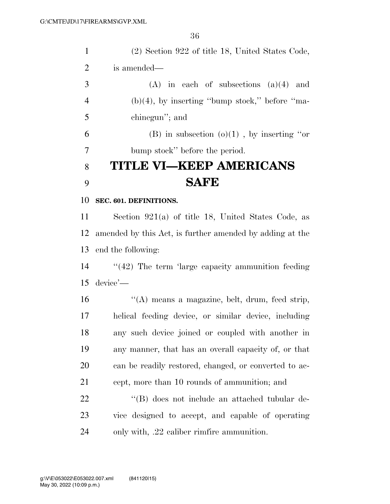| $\mathbf{1}$   | (2) Section 922 of title 18, United States Code,         |
|----------------|----------------------------------------------------------|
| $\overline{2}$ | is amended—                                              |
| 3              | $(A)$ in each of subsections $(a)(4)$ and                |
| $\overline{4}$ | $(b)(4)$ , by inserting "bump stock," before "ma-        |
| 5              | chinegun"; and                                           |
| 6              | (B) in subsection $(o)(1)$ , by inserting "or            |
| 7              | bump stock" before the period.                           |
| 8              | TITLE VI–KEEP AMERICANS                                  |
| 9              | <b>SAFE</b>                                              |
| 10             | SEC. 601. DEFINITIONS.                                   |
| 11             | Section $921(a)$ of title 18, United States Code, as     |
| 12             | amended by this Act, is further amended by adding at the |
| 13             | end the following:                                       |
| 14             | $\lq(42)$ The term 'large capacity ammunition feeding    |
| 15             | $device'$ —                                              |
| 16             | "(A) means a magazine, belt, drum, feed strip,           |
| 17             | helical feeding device, or similar device, including     |
| 18             | any such device joined or coupled with another in        |
| 19             | any manner, that has an overall capacity of, or that     |
| 20             | can be readily restored, changed, or converted to ac-    |
| 21             | cept, more than 10 rounds of ammunition; and             |
| 22             | "(B) does not include an attached tubular de-            |
| 23             | vice designed to accept, and capable of operating        |
| 24             | only with, .22 caliber rimfire ammunition.               |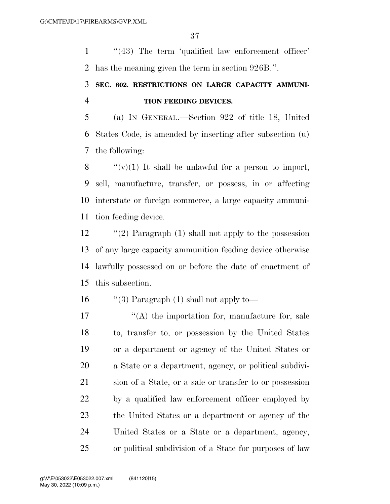1 ''(43) The term 'qualified law enforcement officer' has the meaning given the term in section 926B.''.

# **SEC. 602. RESTRICTIONS ON LARGE CAPACITY AMMUNI-TION FEEDING DEVICES.**

 (a) IN GENERAL.—Section 922 of title 18, United States Code, is amended by inserting after subsection (u) the following:

 $\langle \langle v \rangle (1)$  It shall be unlawful for a person to import, sell, manufacture, transfer, or possess, in or affecting interstate or foreign commerce, a large capacity ammuni-tion feeding device.

 ''(2) Paragraph (1) shall not apply to the possession of any large capacity ammunition feeding device otherwise lawfully possessed on or before the date of enactment of this subsection.

16  $\qquad$  "(3) Paragraph (1) shall not apply to-

 $'$ (A) the importation for, manufacture for, sale to, transfer to, or possession by the United States or a department or agency of the United States or a State or a department, agency, or political subdivi- sion of a State, or a sale or transfer to or possession by a qualified law enforcement officer employed by the United States or a department or agency of the United States or a State or a department, agency, or political subdivision of a State for purposes of law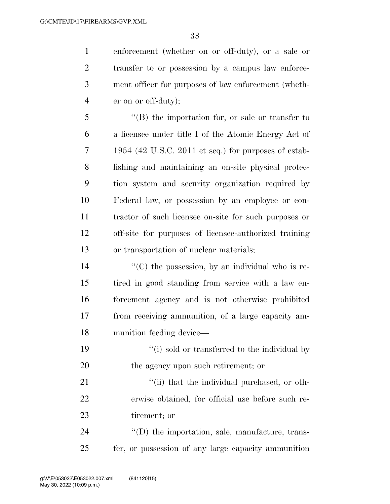enforcement (whether on or off-duty), or a sale or transfer to or possession by a campus law enforce- ment officer for purposes of law enforcement (wheth-er on or off-duty);

 ''(B) the importation for, or sale or transfer to a licensee under title I of the Atomic Energy Act of 1954 (42 U.S.C. 2011 et seq.) for purposes of estab- lishing and maintaining an on-site physical protec- tion system and security organization required by Federal law, or possession by an employee or con- tractor of such licensee on-site for such purposes or off-site for purposes of licensee-authorized training or transportation of nuclear materials;

 $\mathcal{L}^{\prime\prime}(C)$  the possession, by an individual who is re- tired in good standing from service with a law en- forcement agency and is not otherwise prohibited from receiving ammunition, of a large capacity am-munition feeding device—

19 ''(i) sold or transferred to the individual by 20 the agency upon such retirement; or

21  $\frac{1}{1}$  (ii) that the individual purchased, or oth- erwise obtained, for official use before such re-tirement; or

24  $\langle\text{(D)}\rangle$  the importation, sale, manufacture, trans-fer, or possession of any large capacity ammunition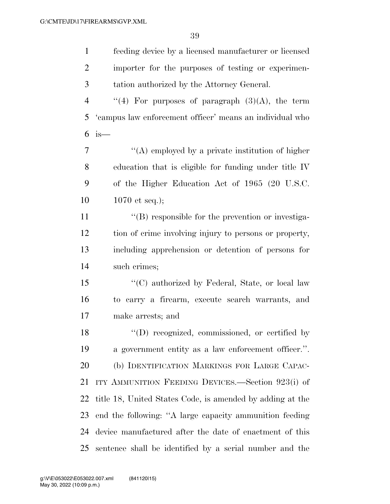| $\mathbf{1}$   | feeding device by a licensed manufacturer or licensed     |
|----------------|-----------------------------------------------------------|
| $\overline{2}$ | importer for the purposes of testing or experimen-        |
| 3              | tation authorized by the Attorney General.                |
| $\overline{4}$ | "(4) For purposes of paragraph $(3)(A)$ , the term        |
| 5              | 'campus law enforcement officer' means an individual who  |
| 6              | $is-$                                                     |
| $\overline{7}$ | $\lq\lq$ employed by a private institution of higher      |
| 8              | education that is eligible for funding under title IV     |
| 9              | of the Higher Education Act of 1965 (20 U.S.C.            |
| 10             | 1070 et seq.);                                            |
| 11             | $\lq\lq (B)$ responsible for the prevention or investiga- |
| 12             | tion of crime involving injury to persons or property,    |
| 13             | including apprehension or detention of persons for        |
| 14             | such crimes;                                              |
| 15             | "(C) authorized by Federal, State, or local law           |
| 16             | to carry a firearm, execute search warrants, and          |
| 17             | make arrests; and                                         |
| 18             | $\lq\lq$ (D) recognized, commissioned, or certified by    |
| 19             | a government entity as a law enforcement officer.".       |
| 20             | (b) IDENTIFICATION MARKINGS FOR LARGE CAPAC-              |
| 21             | ITY AMMUNITION FEEDING DEVICES.—Section 923(i) of         |
| 22             | title 18, United States Code, is amended by adding at the |
| 23             | end the following: "A large capacity ammunition feeding   |
| 24             | device manufactured after the date of enactment of this   |
| 25             | sentence shall be identified by a serial number and the   |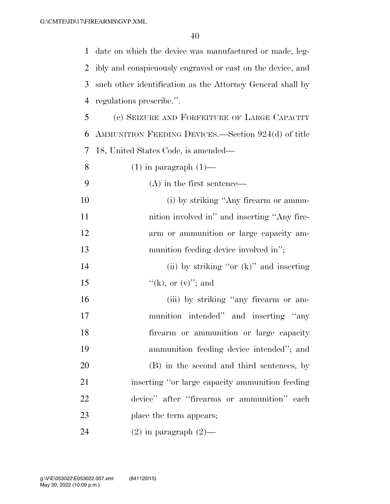date on which the device was manufactured or made, leg- ibly and conspicuously engraved or cast on the device, and such other identification as the Attorney General shall by regulations prescribe.''. (c) SEIZURE AND FORFEITURE OF LARGE CAPACITY AMMUNITION FEEDING DEVICES.—Section 924(d) of title 18, United States Code, is amended—  $(1)$  in paragraph  $(1)$ — (A) in the first sentence— 10 (i) by striking "Any firearm or ammu-

**nition involved in**" and inserting "Any fire- arm or ammunition or large capacity am-13 munition feeding device involved in";

14 (ii) by striking "or (k)" and inserting 15  $\frac{f'(k)}{g(k)}$ , or  $(v)''$ ; and

16 (iii) by striking "any firearm or am- munition intended'' and inserting ''any firearm or ammunition or large capacity ammunition feeding device intended''; and (B) in the second and third sentences, by inserting ''or large capacity ammunition feeding device'' after ''firearms or ammunition'' each 23 place the term appears;

24 (2) in paragraph  $(2)$ —